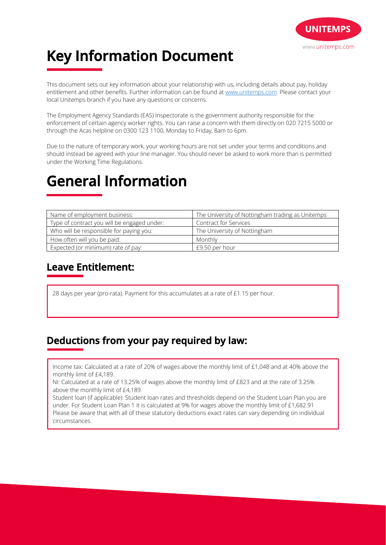

# **Key Information Document**

This document sets out key information about your relationship with us, including details about pay, holiday entitlement and other benefits. Further information can be found at www.unitemps.com. Please contact your local Unitemps branch if you have any questions or concerns.

The Employment Agency Standards (EAS) Inspectorate is the government authority responsible for the enforcement of certain agency worker rights. You can raise a concern with them directly on 020 7215 5000 or through the Acas helpline on 0300 123 1100, Monday to Friday, 8am to 6pm.

Due to the nature of temporary work, your working hours are not set under your terms and conditions and should instead be agreed with your line manager. You should never be asked to work more than is permitted under the Working Time Regulations.

## **General Information**

| Name of employment business:                | The University of Nottingham trading as Unitemps |
|---------------------------------------------|--------------------------------------------------|
| Type of contract you will be engaged under: | <b>Contract for Services</b>                     |
| Who will be responsible for paying you:     | The University of Nottingham                     |
| How often will you be paid:                 | Monthly                                          |
| Expected (or minimum) rate of pay:          | £9.50 per hour                                   |

### **Leave Entitlement:**

28 days per year (pro-rata). Payment for this accumulates at a rate of £1.15 per hour.

### **Deductions from your pay required by law:**

Income tax: Calculated at a rate of 20% of wages above the monthly limit of £1,048 and at 40% above the monthly limit of £4,189.

NI: Calculated at a rate of 13.25% of wages above the monthly limit of £823 and at the rate of 3.25% above the monthly limit of £4,189.

Student loan (if applicable): Student loan rates and thresholds depend on the Student Loan Plan you are under. For Student Loan Plan 1 it is calculated at 9% for wages above the monthly limit of £1,682.91 Please be aware that with all of these statutory deductions exact rates can vary depending on individual circumstances.